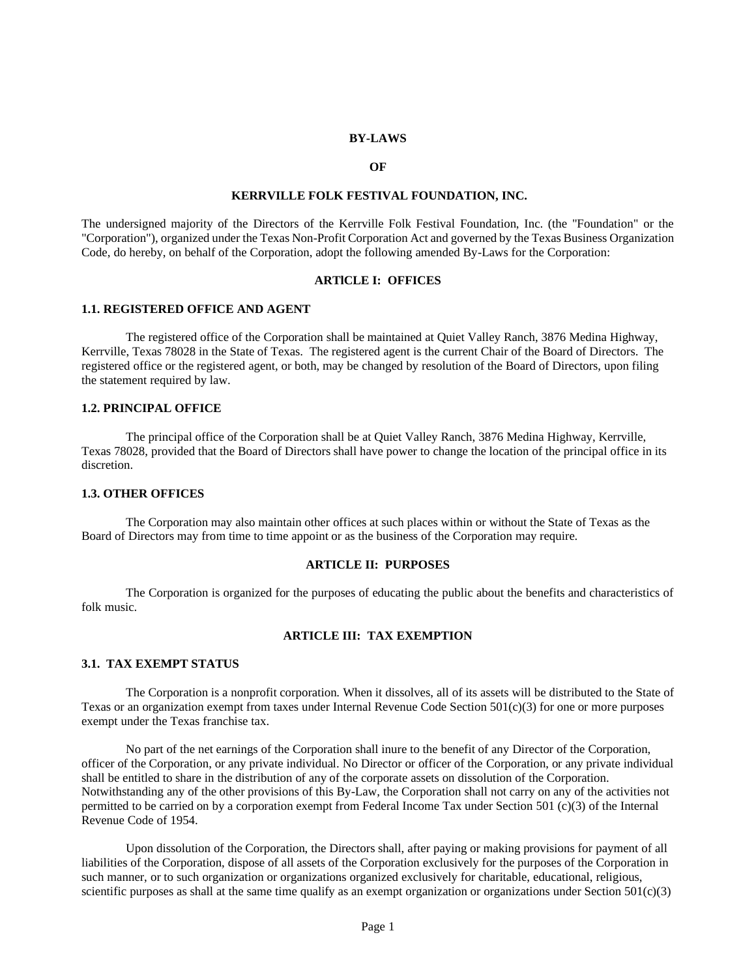### **BY-LAWS**

#### **OF**

### **KERRVILLE FOLK FESTIVAL FOUNDATION, INC.**

The undersigned majority of the Directors of the Kerrville Folk Festival Foundation, Inc. (the "Foundation" or the "Corporation"), organized under the Texas Non-Profit Corporation Act and governed by the Texas Business Organization Code, do hereby, on behalf of the Corporation, adopt the following amended By-Laws for the Corporation:

### **ARTlCLE I: OFFICES**

### **1.1. REGISTERED OFFICE AND AGENT**

 The registered office of the Corporation shall be maintained at Quiet Valley Ranch, 3876 Medina Highway, Kerrville, Texas 78028 in the State of Texas. The registered agent is the current Chair of the Board of Directors. The registered office or the registered agent, or both, may be changed by resolution of the Board of Directors, upon filing the statement required by law.

# **1.2. PRINCIPAL OFFICE**

 The principal office of the Corporation shall be at Quiet Valley Ranch, 3876 Medina Highway, Kerrville, Texas 78028, provided that the Board of Directors shall have power to change the location of the principal office in its discretion.

# **1.3. OTHER OFFICES**

The Corporation may also maintain other offices at such places within or without the State of Texas as the Board of Directors may from time to time appoint or as the business of the Corporation may require.

### **ARTICLE II: PURPOSES**

The Corporation is organized for the purposes of educating the public about the benefits and characteristics of folk music.

### **ARTICLE III: TAX EXEMPTION**

# **3.1. TAX EXEMPT STATUS**

The Corporation is a nonprofit corporation. When it dissolves, all of its assets will be distributed to the State of Texas or an organization exempt from taxes under Internal Revenue Code Section 501(c)(3) for one or more purposes exempt under the Texas franchise tax.

 No part of the net earnings of the Corporation shall inure to the benefit of any Director of the Corporation, officer of the Corporation, or any private individual. No Director or officer of the Corporation, or any private individual shall be entitled to share in the distribution of any of the corporate assets on dissolution of the Corporation. Notwithstanding any of the other provisions of this By-Law, the Corporation shall not carry on any of the activities not permitted to be carried on by a corporation exempt from Federal Income Tax under Section 501 (c)(3) of the Internal Revenue Code of 1954.

 Upon dissolution of the Corporation, the Directors shall, after paying or making provisions for payment of all liabilities of the Corporation, dispose of all assets of the Corporation exclusively for the purposes of the Corporation in such manner, or to such organization or organizations organized exclusively for charitable, educational, religious, scientific purposes as shall at the same time qualify as an exempt organization or organizations under Section  $501(c)(3)$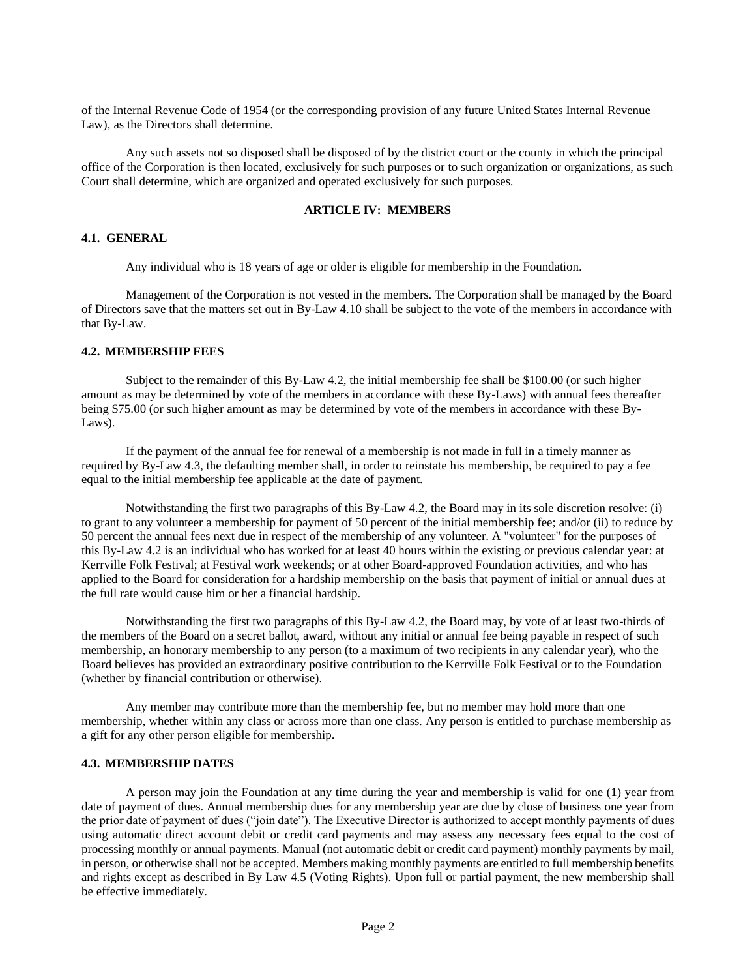of the Internal Revenue Code of 1954 (or the corresponding provision of any future United States Internal Revenue Law), as the Directors shall determine.

Any such assets not so disposed shall be disposed of by the district court or the county in which the principal office of the Corporation is then located, exclusively for such purposes or to such organization or organizations, as such Court shall determine, which are organized and operated exclusively for such purposes.

### **ARTICLE IV: MEMBERS**

## **4.1. GENERAL**

Any individual who is 18 years of age or older is eligible for membership in the Foundation.

Management of the Corporation is not vested in the members. The Corporation shall be managed by the Board of Directors save that the matters set out in By-Law 4.10 shall be subject to the vote of the members in accordance with that By-Law.

### **4.2. MEMBERSHIP FEES**

Subject to the remainder of this By-Law 4.2, the initial membership fee shall be \$100.00 (or such higher amount as may be determined by vote of the members in accordance with these By-Laws) with annual fees thereafter being \$75.00 (or such higher amount as may be determined by vote of the members in accordance with these By-Laws).

If the payment of the annual fee for renewal of a membership is not made in full in a timely manner as required by By-Law 4.3, the defaulting member shall, in order to reinstate his membership, be required to pay a fee equal to the initial membership fee applicable at the date of payment.

Notwithstanding the first two paragraphs of this By-Law 4.2, the Board may in its sole discretion resolve: (i) to grant to any volunteer a membership for payment of 50 percent of the initial membership fee; and/or (ii) to reduce by 50 percent the annual fees next due in respect of the membership of any volunteer. A "volunteer" for the purposes of this By-Law 4.2 is an individual who has worked for at least 40 hours within the existing or previous calendar year: at Kerrville Folk Festival; at Festival work weekends; or at other Board-approved Foundation activities, and who has applied to the Board for consideration for a hardship membership on the basis that payment of initial or annual dues at the full rate would cause him or her a financial hardship.

Notwithstanding the first two paragraphs of this By-Law 4.2, the Board may, by vote of at least two-thirds of the members of the Board on a secret ballot, award, without any initial or annual fee being payable in respect of such membership, an honorary membership to any person (to a maximum of two recipients in any calendar year), who the Board believes has provided an extraordinary positive contribution to the Kerrville Folk Festival or to the Foundation (whether by financial contribution or otherwise).

Any member may contribute more than the membership fee, but no member may hold more than one membership, whether within any class or across more than one class. Any person is entitled to purchase membership as a gift for any other person eligible for membership.

### **4.3. MEMBERSHIP DATES**

A person may join the Foundation at any time during the year and membership is valid for one (1) year from date of payment of dues. Annual membership dues for any membership year are due by close of business one year from the prior date of payment of dues ("join date"). The Executive Director is authorized to accept monthly payments of dues using automatic direct account debit or credit card payments and may assess any necessary fees equal to the cost of processing monthly or annual payments. Manual (not automatic debit or credit card payment) monthly payments by mail, in person, or otherwise shall not be accepted. Members making monthly payments are entitled to full membership benefits and rights except as described in By Law 4.5 (Voting Rights). Upon full or partial payment, the new membership shall be effective immediately.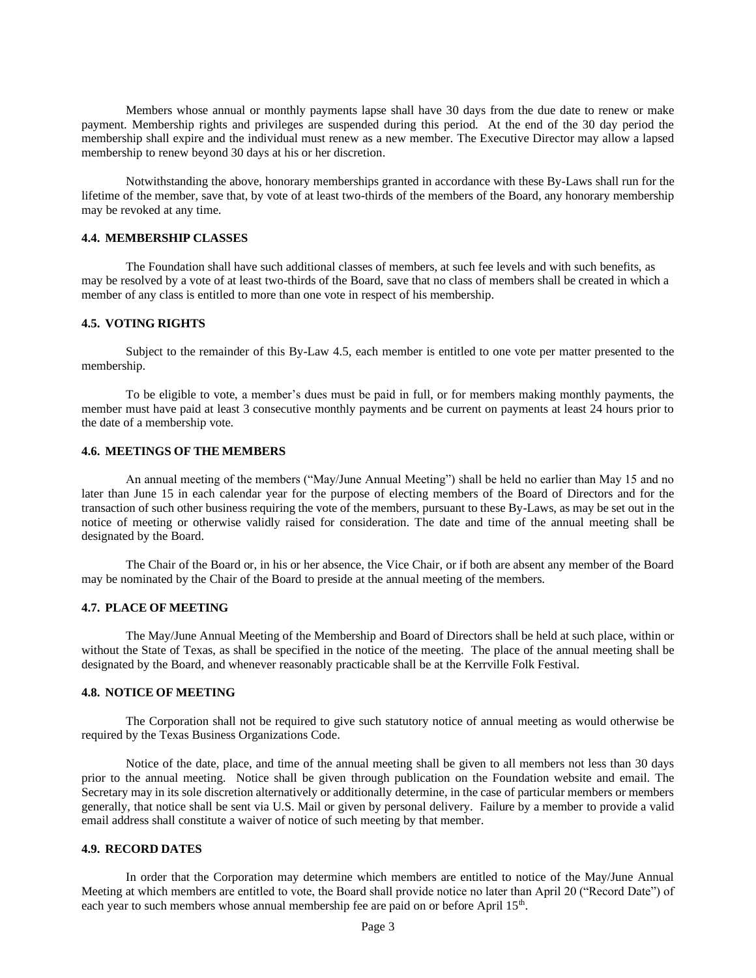Members whose annual or monthly payments lapse shall have 30 days from the due date to renew or make payment. Membership rights and privileges are suspended during this period. At the end of the 30 day period the membership shall expire and the individual must renew as a new member. The Executive Director may allow a lapsed membership to renew beyond 30 days at his or her discretion.

Notwithstanding the above, honorary memberships granted in accordance with these By-Laws shall run for the lifetime of the member, save that, by vote of at least two-thirds of the members of the Board, any honorary membership may be revoked at any time.

### **4.4. MEMBERSHIP CLASSES**

The Foundation shall have such additional classes of members, at such fee levels and with such benefits, as may be resolved by a vote of at least two-thirds of the Board, save that no class of members shall be created in which a member of any class is entitled to more than one vote in respect of his membership.

### **4.5. VOTING RIGHTS**

Subject to the remainder of this By-Law 4.5, each member is entitled to one vote per matter presented to the membership.

To be eligible to vote, a member's dues must be paid in full, or for members making monthly payments, the member must have paid at least 3 consecutive monthly payments and be current on payments at least 24 hours prior to the date of a membership vote.

## **4.6. MEETINGS OF THE MEMBERS**

An annual meeting of the members ("May/June Annual Meeting") shall be held no earlier than May 15 and no later than June 15 in each calendar year for the purpose of electing members of the Board of Directors and for the transaction of such other business requiring the vote of the members, pursuant to these By-Laws, as may be set out in the notice of meeting or otherwise validly raised for consideration. The date and time of the annual meeting shall be designated by the Board.

The Chair of the Board or, in his or her absence, the Vice Chair, or if both are absent any member of the Board may be nominated by the Chair of the Board to preside at the annual meeting of the members.

### **4.7. PLACE OF MEETING**

The May/June Annual Meeting of the Membership and Board of Directors shall be held at such place, within or without the State of Texas, as shall be specified in the notice of the meeting. The place of the annual meeting shall be designated by the Board, and whenever reasonably practicable shall be at the Kerrville Folk Festival.

# **4.8. NOTICE OF MEETING**

The Corporation shall not be required to give such statutory notice of annual meeting as would otherwise be required by the Texas Business Organizations Code.

Notice of the date, place, and time of the annual meeting shall be given to all members not less than 30 days prior to the annual meeting. Notice shall be given through publication on the Foundation website and email. The Secretary may in its sole discretion alternatively or additionally determine, in the case of particular members or members generally, that notice shall be sent via U.S. Mail or given by personal delivery. Failure by a member to provide a valid email address shall constitute a waiver of notice of such meeting by that member.

# **4.9. RECORD DATES**

In order that the Corporation may determine which members are entitled to notice of the May/June Annual Meeting at which members are entitled to vote, the Board shall provide notice no later than April 20 ("Record Date") of each year to such members whose annual membership fee are paid on or before April  $15<sup>th</sup>$ .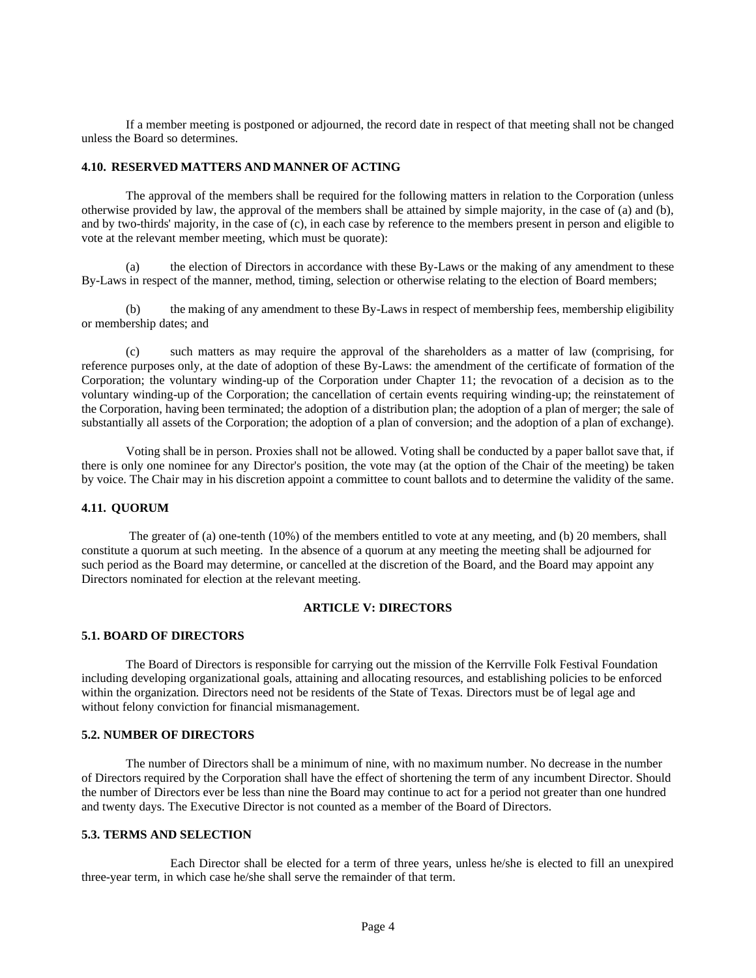If a member meeting is postponed or adjourned, the record date in respect of that meeting shall not be changed unless the Board so determines.

## **4.10. RESERVED MATTERS AND MANNER OF ACTING**

The approval of the members shall be required for the following matters in relation to the Corporation (unless otherwise provided by law, the approval of the members shall be attained by simple majority, in the case of (a) and (b), and by two-thirds' majority, in the case of (c), in each case by reference to the members present in person and eligible to vote at the relevant member meeting, which must be quorate):

(a) the election of Directors in accordance with these By-Laws or the making of any amendment to these By-Laws in respect of the manner, method, timing, selection or otherwise relating to the election of Board members;

(b) the making of any amendment to these By-Laws in respect of membership fees, membership eligibility or membership dates; and

(c) such matters as may require the approval of the shareholders as a matter of law (comprising, for reference purposes only, at the date of adoption of these By-Laws: the amendment of the certificate of formation of the Corporation; the voluntary winding-up of the Corporation under Chapter 11; the revocation of a decision as to the voluntary winding-up of the Corporation; the cancellation of certain events requiring winding-up; the reinstatement of the Corporation, having been terminated; the adoption of a distribution plan; the adoption of a plan of merger; the sale of substantially all assets of the Corporation; the adoption of a plan of conversion; and the adoption of a plan of exchange).

Voting shall be in person. Proxies shall not be allowed. Voting shall be conducted by a paper ballot save that, if there is only one nominee for any Director's position, the vote may (at the option of the Chair of the meeting) be taken by voice. The Chair may in his discretion appoint a committee to count ballots and to determine the validity of the same.

## **4.11. QUORUM**

The greater of (a) one-tenth (10%) of the members entitled to vote at any meeting, and (b) 20 members, shall constitute a quorum at such meeting. In the absence of a quorum at any meeting the meeting shall be adjourned for such period as the Board may determine, or cancelled at the discretion of the Board, and the Board may appoint any Directors nominated for election at the relevant meeting.

### **ARTICLE V: DIRECTORS**

# **5.1. BOARD OF DIRECTORS**

 The Board of Directors is responsible for carrying out the mission of the Kerrville Folk Festival Foundation including developing organizational goals, attaining and allocating resources, and establishing policies to be enforced within the organization. Directors need not be residents of the State of Texas. Directors must be of legal age and without felony conviction for financial mismanagement.

# **5.2. NUMBER OF DIRECTORS**

 The number of Directors shall be a minimum of nine, with no maximum number. No decrease in the number of Directors required by the Corporation shall have the effect of shortening the term of any incumbent Director. Should the number of Directors ever be less than nine the Board may continue to act for a period not greater than one hundred and twenty days. The Executive Director is not counted as a member of the Board of Directors.

# **5.3. TERMS AND SELECTION**

 Each Director shall be elected for a term of three years, unless he/she is elected to fill an unexpired three-year term, in which case he/she shall serve the remainder of that term.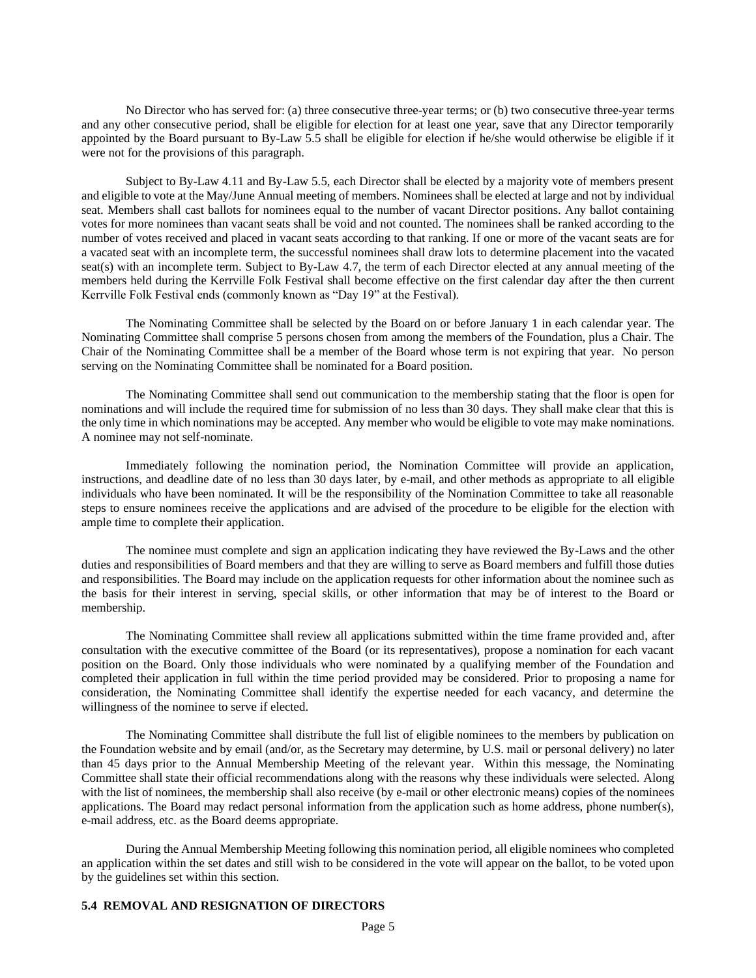No Director who has served for: (a) three consecutive three-year terms; or (b) two consecutive three-year terms and any other consecutive period, shall be eligible for election for at least one year, save that any Director temporarily appointed by the Board pursuant to By-Law 5.5 shall be eligible for election if he/she would otherwise be eligible if it were not for the provisions of this paragraph.

Subject to By-Law 4.11 and By-Law 5.5, each Director shall be elected by a majority vote of members present and eligible to vote at the May/June Annual meeting of members. Nominees shall be elected at large and not by individual seat. Members shall cast ballots for nominees equal to the number of vacant Director positions. Any ballot containing votes for more nominees than vacant seats shall be void and not counted. The nominees shall be ranked according to the number of votes received and placed in vacant seats according to that ranking. If one or more of the vacant seats are for a vacated seat with an incomplete term, the successful nominees shall draw lots to determine placement into the vacated seat(s) with an incomplete term. Subject to By-Law 4.7, the term of each Director elected at any annual meeting of the members held during the Kerrville Folk Festival shall become effective on the first calendar day after the then current Kerrville Folk Festival ends (commonly known as "Day 19" at the Festival).

The Nominating Committee shall be selected by the Board on or before January 1 in each calendar year. The Nominating Committee shall comprise 5 persons chosen from among the members of the Foundation, plus a Chair. The Chair of the Nominating Committee shall be a member of the Board whose term is not expiring that year. No person serving on the Nominating Committee shall be nominated for a Board position.

The Nominating Committee shall send out communication to the membership stating that the floor is open for nominations and will include the required time for submission of no less than 30 days. They shall make clear that this is the only time in which nominations may be accepted. Any member who would be eligible to vote may make nominations. A nominee may not self-nominate.

Immediately following the nomination period, the Nomination Committee will provide an application, instructions, and deadline date of no less than 30 days later, by e-mail, and other methods as appropriate to all eligible individuals who have been nominated. It will be the responsibility of the Nomination Committee to take all reasonable steps to ensure nominees receive the applications and are advised of the procedure to be eligible for the election with ample time to complete their application.

The nominee must complete and sign an application indicating they have reviewed the By-Laws and the other duties and responsibilities of Board members and that they are willing to serve as Board members and fulfill those duties and responsibilities. The Board may include on the application requests for other information about the nominee such as the basis for their interest in serving, special skills, or other information that may be of interest to the Board or membership.

The Nominating Committee shall review all applications submitted within the time frame provided and, after consultation with the executive committee of the Board (or its representatives), propose a nomination for each vacant position on the Board. Only those individuals who were nominated by a qualifying member of the Foundation and completed their application in full within the time period provided may be considered. Prior to proposing a name for consideration, the Nominating Committee shall identify the expertise needed for each vacancy, and determine the willingness of the nominee to serve if elected.

The Nominating Committee shall distribute the full list of eligible nominees to the members by publication on the Foundation website and by email (and/or, as the Secretary may determine, by U.S. mail or personal delivery) no later than 45 days prior to the Annual Membership Meeting of the relevant year. Within this message, the Nominating Committee shall state their official recommendations along with the reasons why these individuals were selected. Along with the list of nominees, the membership shall also receive (by e-mail or other electronic means) copies of the nominees applications. The Board may redact personal information from the application such as home address, phone number(s), e-mail address, etc. as the Board deems appropriate.

During the Annual Membership Meeting following this nomination period, all eligible nominees who completed an application within the set dates and still wish to be considered in the vote will appear on the ballot, to be voted upon by the guidelines set within this section.

### **5.4 REMOVAL AND RESIGNATION OF DIRECTORS**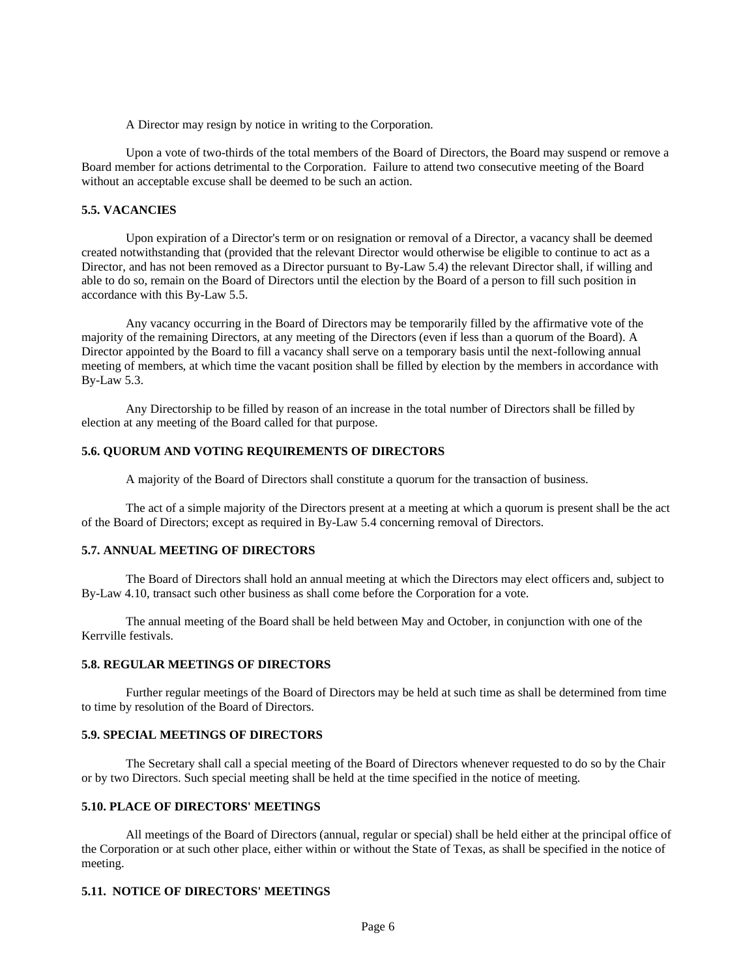A Director may resign by notice in writing to the Corporation.

Upon a vote of two-thirds of the total members of the Board of Directors, the Board may suspend or remove a Board member for actions detrimental to the Corporation. Failure to attend two consecutive meeting of the Board without an acceptable excuse shall be deemed to be such an action.

### **5.5. VACANCIES**

Upon expiration of a Director's term or on resignation or removal of a Director, a vacancy shall be deemed created notwithstanding that (provided that the relevant Director would otherwise be eligible to continue to act as a Director, and has not been removed as a Director pursuant to By-Law 5.4) the relevant Director shall, if willing and able to do so, remain on the Board of Directors until the election by the Board of a person to fill such position in accordance with this By-Law 5.5.

Any vacancy occurring in the Board of Directors may be temporarily filled by the affirmative vote of the majority of the remaining Directors, at any meeting of the Directors (even if less than a quorum of the Board). A Director appointed by the Board to fill a vacancy shall serve on a temporary basis until the next-following annual meeting of members, at which time the vacant position shall be filled by election by the members in accordance with By-Law 5.3.

Any Directorship to be filled by reason of an increase in the total number of Directors shall be filled by election at any meeting of the Board called for that purpose.

# **5.6. QUORUM AND VOTING REQUIREMENTS OF DIRECTORS**

A majority of the Board of Directors shall constitute a quorum for the transaction of business.

The act of a simple majority of the Directors present at a meeting at which a quorum is present shall be the act of the Board of Directors; except as required in By-Law 5.4 concerning removal of Directors.

## **5.7. ANNUAL MEETING OF DIRECTORS**

 The Board of Directors shall hold an annual meeting at which the Directors may elect officers and, subject to By-Law 4.10, transact such other business as shall come before the Corporation for a vote.

The annual meeting of the Board shall be held between May and October, in conjunction with one of the Kerrville festivals.

### **5.8. REGULAR MEETINGS OF DIRECTORS**

 Further regular meetings of the Board of Directors may be held at such time as shall be determined from time to time by resolution of the Board of Directors.

## **5.9. SPECIAL MEETINGS OF DIRECTORS**

 The Secretary shall call a special meeting of the Board of Directors whenever requested to do so by the Chair or by two Directors. Such special meeting shall be held at the time specified in the notice of meeting.

### **5.10. PLACE OF DIRECTORS' MEETINGS**

 All meetings of the Board of Directors (annual, regular or special) shall be held either at the principal office of the Corporation or at such other place, either within or without the State of Texas, as shall be specified in the notice of meeting.

# **5.11. NOTICE OF DIRECTORS' MEETINGS**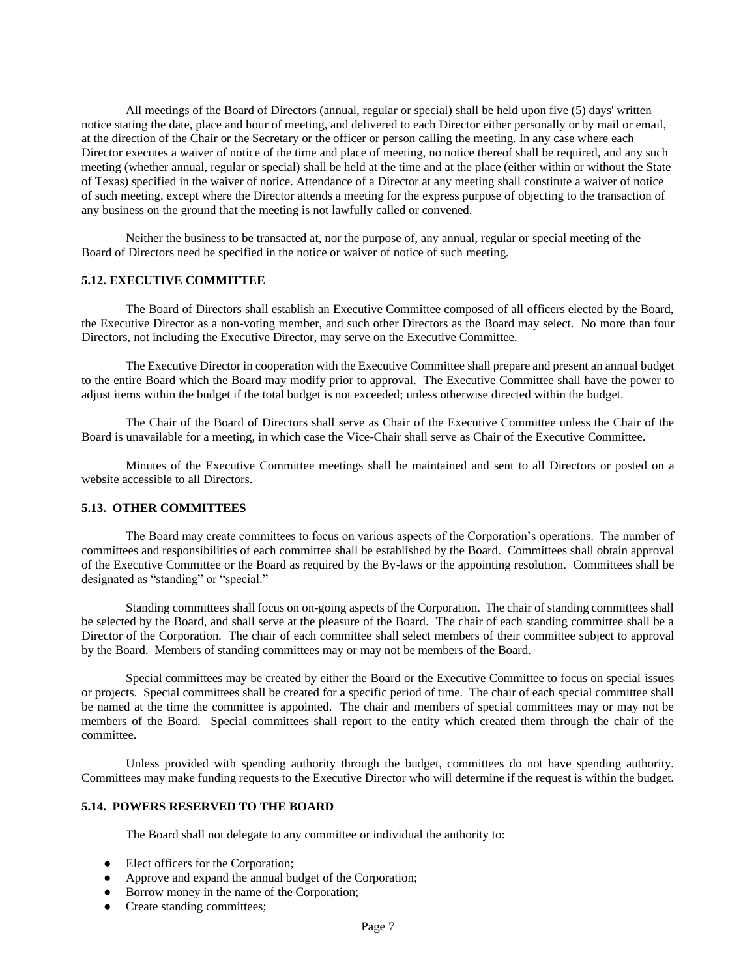All meetings of the Board of Directors (annual, regular or special) shall be held upon five (5) days' written notice stating the date, place and hour of meeting, and delivered to each Director either personally or by mail or email, at the direction of the Chair or the Secretary or the officer or person calling the meeting. In any case where each Director executes a waiver of notice of the time and place of meeting, no notice thereof shall be required, and any such meeting (whether annual, regular or special) shall be held at the time and at the place (either within or without the State of Texas) specified in the waiver of notice. Attendance of a Director at any meeting shall constitute a waiver of notice of such meeting, except where the Director attends a meeting for the express purpose of objecting to the transaction of any business on the ground that the meeting is not lawfully called or convened.

 Neither the business to be transacted at, nor the purpose of, any annual, regular or special meeting of the Board of Directors need be specified in the notice or waiver of notice of such meeting.

### **5.12. EXECUTIVE COMMITTEE**

 The Board of Directors shall establish an Executive Committee composed of all officers elected by the Board, the Executive Director as a non-voting member, and such other Directors as the Board may select. No more than four Directors, not including the Executive Director, may serve on the Executive Committee.

 The Executive Director in cooperation with the Executive Committee shall prepare and present an annual budget to the entire Board which the Board may modify prior to approval. The Executive Committee shall have the power to adjust items within the budget if the total budget is not exceeded; unless otherwise directed within the budget.

 The Chair of the Board of Directors shall serve as Chair of the Executive Committee unless the Chair of the Board is unavailable for a meeting, in which case the Vice-Chair shall serve as Chair of the Executive Committee.

 Minutes of the Executive Committee meetings shall be maintained and sent to all Directors or posted on a website accessible to all Directors.

## **5.13. OTHER COMMITTEES**

 The Board may create committees to focus on various aspects of the Corporation's operations. The number of committees and responsibilities of each committee shall be established by the Board. Committees shall obtain approval of the Executive Committee or the Board as required by the By-laws or the appointing resolution. Committees shall be designated as "standing" or "special."

 Standing committees shall focus on on-going aspects of the Corporation. The chair of standing committees shall be selected by the Board, and shall serve at the pleasure of the Board. The chair of each standing committee shall be a Director of the Corporation. The chair of each committee shall select members of their committee subject to approval by the Board. Members of standing committees may or may not be members of the Board.

 Special committees may be created by either the Board or the Executive Committee to focus on special issues or projects. Special committees shall be created for a specific period of time. The chair of each special committee shall be named at the time the committee is appointed. The chair and members of special committees may or may not be members of the Board. Special committees shall report to the entity which created them through the chair of the committee.

 Unless provided with spending authority through the budget, committees do not have spending authority. Committees may make funding requests to the Executive Director who will determine if the request is within the budget.

# **5.14. POWERS RESERVED TO THE BOARD**

The Board shall not delegate to any committee or individual the authority to:

- Elect officers for the Corporation;
- Approve and expand the annual budget of the Corporation;
- Borrow money in the name of the Corporation;
- Create standing committees;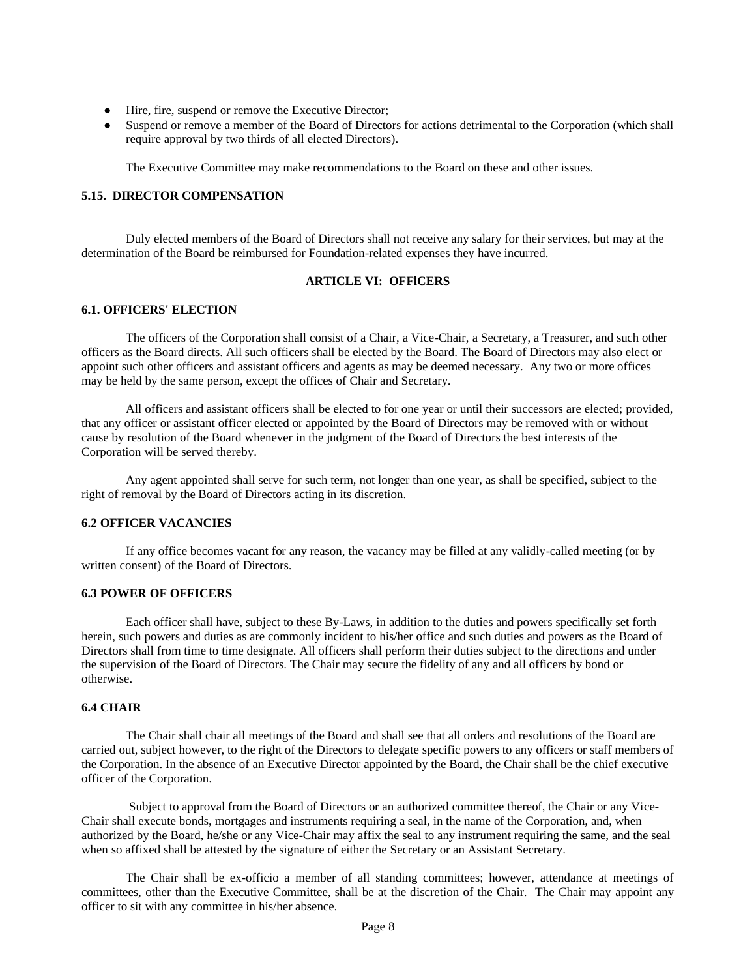- Hire, fire, suspend or remove the Executive Director;
- Suspend or remove a member of the Board of Directors for actions detrimental to the Corporation (which shall require approval by two thirds of all elected Directors).

The Executive Committee may make recommendations to the Board on these and other issues.

### **5.15. DIRECTOR COMPENSATION**

Duly elected members of the Board of Directors shall not receive any salary for their services, but may at the determination of the Board be reimbursed for Foundation-related expenses they have incurred.

# **ARTICLE VI: OFFlCERS**

### **6.1. OFFICERS' ELECTION**

 The officers of the Corporation shall consist of a Chair, a Vice-Chair, a Secretary, a Treasurer, and such other officers as the Board directs. All such officers shall be elected by the Board. The Board of Directors may also elect or appoint such other officers and assistant officers and agents as may be deemed necessary. Any two or more offices may be held by the same person, except the offices of Chair and Secretary.

 All officers and assistant officers shall be elected to for one year or until their successors are elected; provided, that any officer or assistant officer elected or appointed by the Board of Directors may be removed with or without cause by resolution of the Board whenever in the judgment of the Board of Directors the best interests of the Corporation will be served thereby.

Any agent appointed shall serve for such term, not longer than one year, as shall be specified, subject to the right of removal by the Board of Directors acting in its discretion.

# **6.2 OFFICER VACANCIES**

 If any office becomes vacant for any reason, the vacancy may be filled at any validly-called meeting (or by written consent) of the Board of Directors.

### **6.3 POWER OF OFFICERS**

 Each officer shall have, subject to these By-Laws, in addition to the duties and powers specifically set forth herein, such powers and duties as are commonly incident to his/her office and such duties and powers as the Board of Directors shall from time to time designate. All officers shall perform their duties subject to the directions and under the supervision of the Board of Directors. The Chair may secure the fidelity of any and all officers by bond or otherwise.

# **6.4 CHAIR**

 The Chair shall chair all meetings of the Board and shall see that all orders and resolutions of the Board are carried out, subject however, to the right of the Directors to delegate specific powers to any officers or staff members of the Corporation. In the absence of an Executive Director appointed by the Board, the Chair shall be the chief executive officer of the Corporation.

 Subject to approval from the Board of Directors or an authorized committee thereof, the Chair or any Vice-Chair shall execute bonds, mortgages and instruments requiring a seal, in the name of the Corporation, and, when authorized by the Board, he/she or any Vice-Chair may affix the seal to any instrument requiring the same, and the seal when so affixed shall be attested by the signature of either the Secretary or an Assistant Secretary.

 The Chair shall be ex-officio a member of all standing committees; however, attendance at meetings of committees, other than the Executive Committee, shall be at the discretion of the Chair. The Chair may appoint any officer to sit with any committee in his/her absence.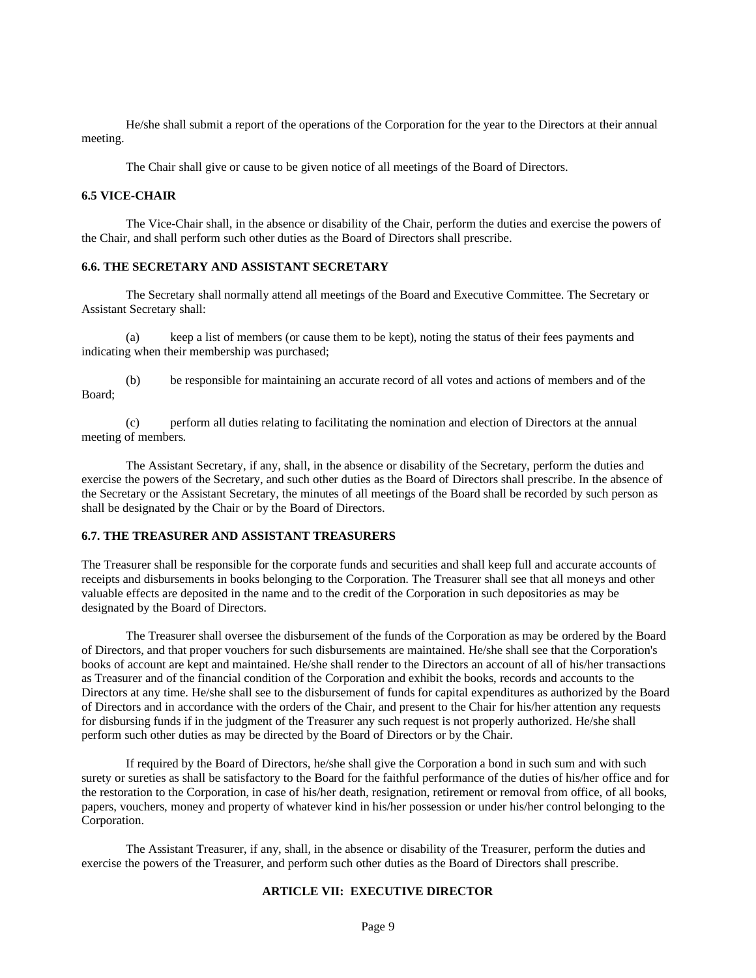He/she shall submit a report of the operations of the Corporation for the year to the Directors at their annual meeting.

The Chair shall give or cause to be given notice of all meetings of the Board of Directors.

## **6.5 VICE-CHAIR**

 The Vice-Chair shall, in the absence or disability of the Chair, perform the duties and exercise the powers of the Chair, and shall perform such other duties as the Board of Directors shall prescribe.

### **6.6. THE SECRETARY AND ASSISTANT SECRETARY**

The Secretary shall normally attend all meetings of the Board and Executive Committee. The Secretary or Assistant Secretary shall:

(a) keep a list of members (or cause them to be kept), noting the status of their fees payments and indicating when their membership was purchased;

(b) be responsible for maintaining an accurate record of all votes and actions of members and of the Board;

(c) perform all duties relating to facilitating the nomination and election of Directors at the annual meeting of members.

The Assistant Secretary, if any, shall, in the absence or disability of the Secretary, perform the duties and exercise the powers of the Secretary, and such other duties as the Board of Directors shall prescribe. In the absence of the Secretary or the Assistant Secretary, the minutes of all meetings of the Board shall be recorded by such person as shall be designated by the Chair or by the Board of Directors.

# **6.7. THE TREASURER AND ASSISTANT TREASURERS**

The Treasurer shall be responsible for the corporate funds and securities and shall keep full and accurate accounts of receipts and disbursements in books belonging to the Corporation. The Treasurer shall see that all moneys and other valuable effects are deposited in the name and to the credit of the Corporation in such depositories as may be designated by the Board of Directors.

The Treasurer shall oversee the disbursement of the funds of the Corporation as may be ordered by the Board of Directors, and that proper vouchers for such disbursements are maintained. He/she shall see that the Corporation's books of account are kept and maintained. He/she shall render to the Directors an account of all of his/her transactions as Treasurer and of the financial condition of the Corporation and exhibit the books, records and accounts to the Directors at any time. He/she shall see to the disbursement of funds for capital expenditures as authorized by the Board of Directors and in accordance with the orders of the Chair, and present to the Chair for his/her attention any requests for disbursing funds if in the judgment of the Treasurer any such request is not properly authorized. He/she shall perform such other duties as may be directed by the Board of Directors or by the Chair.

If required by the Board of Directors, he/she shall give the Corporation a bond in such sum and with such surety or sureties as shall be satisfactory to the Board for the faithful performance of the duties of his/her office and for the restoration to the Corporation, in case of his/her death, resignation, retirement or removal from office, of all books, papers, vouchers, money and property of whatever kind in his/her possession or under his/her control belonging to the Corporation.

The Assistant Treasurer, if any, shall, in the absence or disability of the Treasurer, perform the duties and exercise the powers of the Treasurer, and perform such other duties as the Board of Directors shall prescribe.

# **ARTICLE VII: EXECUTIVE DIRECTOR**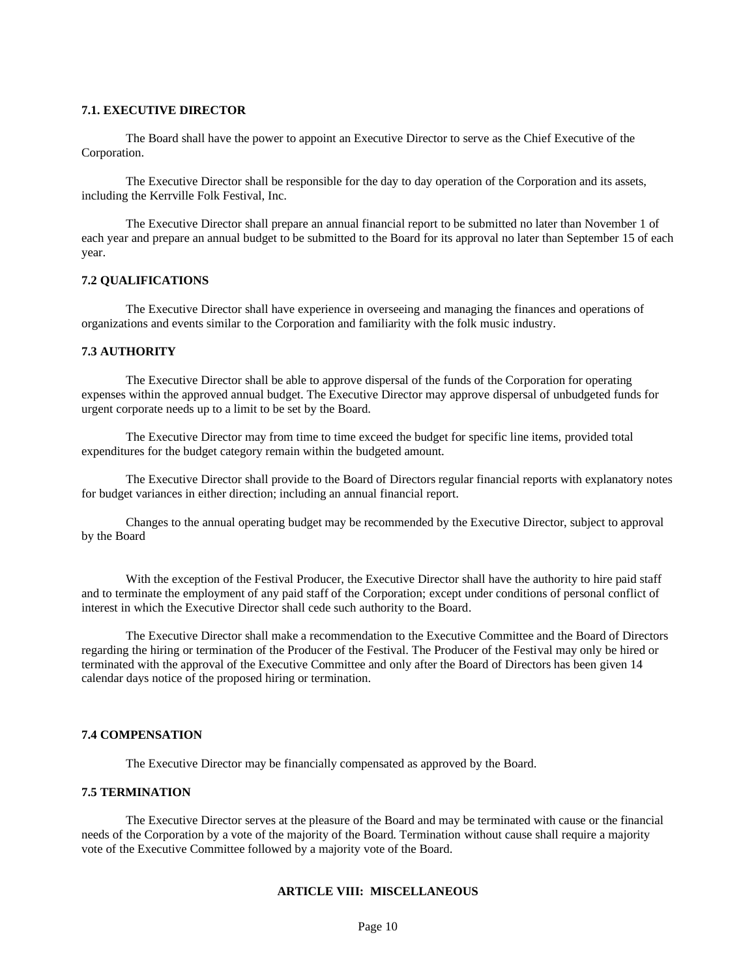# **7.1. EXECUTIVE DIRECTOR**

 The Board shall have the power to appoint an Executive Director to serve as the Chief Executive of the Corporation.

 The Executive Director shall be responsible for the day to day operation of the Corporation and its assets, including the Kerrville Folk Festival, Inc.

The Executive Director shall prepare an annual financial report to be submitted no later than November 1 of each year and prepare an annual budget to be submitted to the Board for its approval no later than September 15 of each year.

### **7.2 QUALIFICATIONS**

 The Executive Director shall have experience in overseeing and managing the finances and operations of organizations and events similar to the Corporation and familiarity with the folk music industry.

# **7.3 AUTHORITY**

The Executive Director shall be able to approve dispersal of the funds of the Corporation for operating expenses within the approved annual budget. The Executive Director may approve dispersal of unbudgeted funds for urgent corporate needs up to a limit to be set by the Board.

The Executive Director may from time to time exceed the budget for specific line items, provided total expenditures for the budget category remain within the budgeted amount.

The Executive Director shall provide to the Board of Directors regular financial reports with explanatory notes for budget variances in either direction; including an annual financial report.

Changes to the annual operating budget may be recommended by the Executive Director, subject to approval by the Board

 With the exception of the Festival Producer, the Executive Director shall have the authority to hire paid staff and to terminate the employment of any paid staff of the Corporation; except under conditions of personal conflict of interest in which the Executive Director shall cede such authority to the Board.

The Executive Director shall make a recommendation to the Executive Committee and the Board of Directors regarding the hiring or termination of the Producer of the Festival. The Producer of the Festival may only be hired or terminated with the approval of the Executive Committee and only after the Board of Directors has been given 14 calendar days notice of the proposed hiring or termination.

## **7.4 COMPENSATION**

The Executive Director may be financially compensated as approved by the Board.

# **7.5 TERMINATION**

 The Executive Director serves at the pleasure of the Board and may be terminated with cause or the financial needs of the Corporation by a vote of the majority of the Board. Termination without cause shall require a majority vote of the Executive Committee followed by a majority vote of the Board.

# **ARTICLE VIII: MISCELLANEOUS**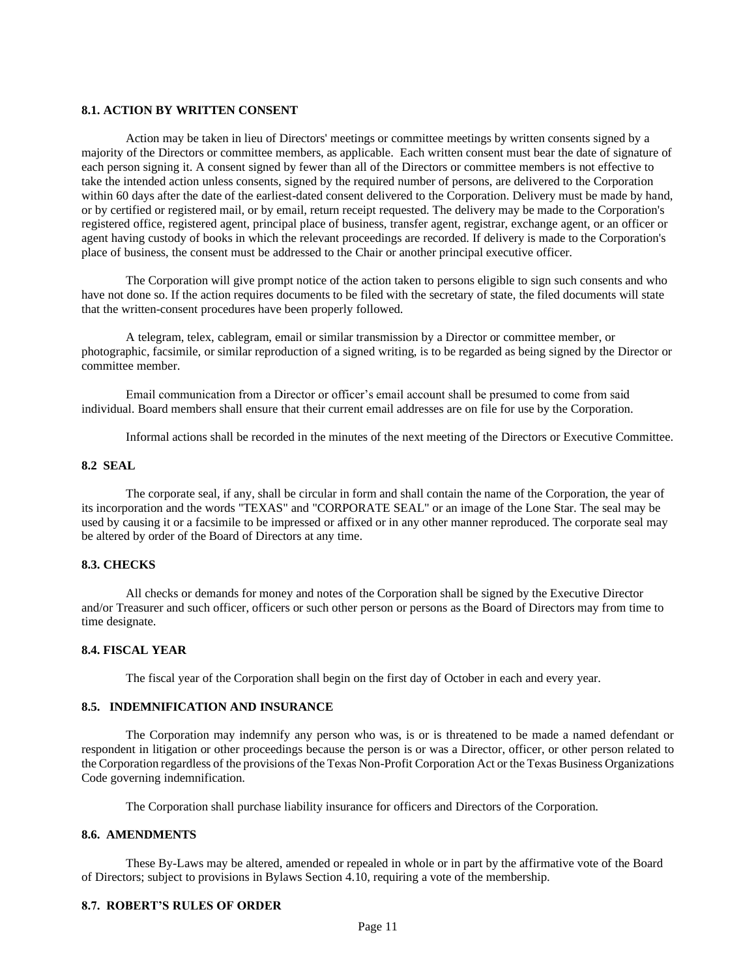### **8.1. ACTION BY WRITTEN CONSENT**

Action may be taken in lieu of Directors' meetings or committee meetings by written consents signed by a majority of the Directors or committee members, as applicable. Each written consent must bear the date of signature of each person signing it. A consent signed by fewer than all of the Directors or committee members is not effective to take the intended action unless consents, signed by the required number of persons, are delivered to the Corporation within 60 days after the date of the earliest-dated consent delivered to the Corporation. Delivery must be made by hand, or by certified or registered mail, or by email, return receipt requested. The delivery may be made to the Corporation's registered office, registered agent, principal place of business, transfer agent, registrar, exchange agent, or an officer or agent having custody of books in which the relevant proceedings are recorded. If delivery is made to the Corporation's place of business, the consent must be addressed to the Chair or another principal executive officer.

 The Corporation will give prompt notice of the action taken to persons eligible to sign such consents and who have not done so. If the action requires documents to be filed with the secretary of state, the filed documents will state that the written-consent procedures have been properly followed.

 A telegram, telex, cablegram, email or similar transmission by a Director or committee member, or photographic, facsimile, or similar reproduction of a signed writing, is to be regarded as being signed by the Director or committee member.

 Email communication from a Director or officer's email account shall be presumed to come from said individual. Board members shall ensure that their current email addresses are on file for use by the Corporation.

Informal actions shall be recorded in the minutes of the next meeting of the Directors or Executive Committee.

## **8.2 SEAL**

The corporate seal, if any, shall be circular in form and shall contain the name of the Corporation, the year of its incorporation and the words "TEXAS" and "CORPORATE SEAL" or an image of the Lone Star. The seal may be used by causing it or a facsimile to be impressed or affixed or in any other manner reproduced. The corporate seal may be altered by order of the Board of Directors at any time.

# **8.3. CHECKS**

All checks or demands for money and notes of the Corporation shall be signed by the Executive Director and/or Treasurer and such officer, officers or such other person or persons as the Board of Directors may from time to time designate.

#### **8.4. FISCAL YEAR**

The fiscal year of the Corporation shall begin on the first day of October in each and every year.

### **8.5. INDEMNIFICATION AND INSURANCE**

 The Corporation may indemnify any person who was, is or is threatened to be made a named defendant or respondent in litigation or other proceedings because the person is or was a Director, officer, or other person related to the Corporation regardless of the provisions of the Texas Non-Profit Corporation Act or the Texas Business Organizations Code governing indemnification.

The Corporation shall purchase liability insurance for officers and Directors of the Corporation.

# **8.6. AMENDMENTS**

These By-Laws may be altered, amended or repealed in whole or in part by the affirmative vote of the Board of Directors; subject to provisions in Bylaws Section 4.10, requiring a vote of the membership.

### **8.7. ROBERT'S RULES OF ORDER**